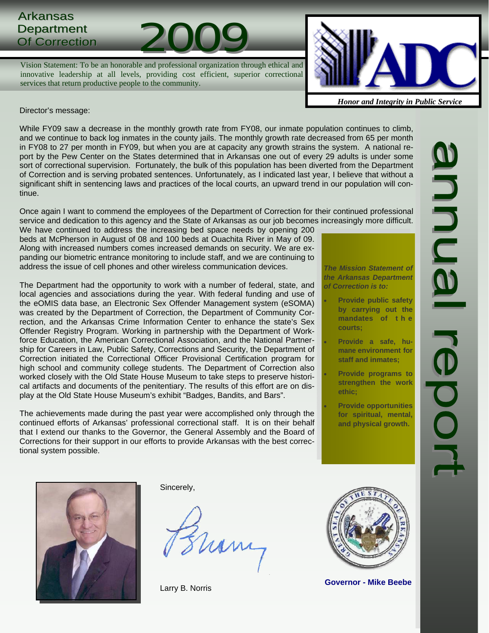# Arkansas Department Arkansas<br>Department<br>Of Correction 2009

Vision Statement: To be an honorable and professional organization through ethical and innovative leadership at all levels, providing cost efficient, superior correctional services that return productive people to the community.



*Honor and Integrity in Public Service*

Director's message:

While FY09 saw a decrease in the monthly growth rate from FY08, our inmate population continues to climb, and we continue to back log inmates in the county jails. The monthly growth rate decreased from 65 per month in FY08 to 27 per month in FY09, but when you are at capacity any growth strains the system. A national report by the Pew Center on the States determined that in Arkansas one out of every 29 adults is under some sort of correctional supervision. Fortunately, the bulk of this population has been diverted from the Department of Correction and is serving probated sentences. Unfortunately, as I indicated last year, I believe that without a significant shift in sentencing laws and practices of the local courts, an upward trend in our population will continue.

Once again I want to commend the employees of the Department of Correction for their continued professional service and dedication to this agency and the State of Arkansas as our job becomes increasingly more difficult.

We have continued to address the increasing bed space needs by opening 200 beds at McPherson in August of 08 and 100 beds at Ouachita River in May of 09. Along with increased numbers comes increased demands on security. We are expanding our biometric entrance monitoring to include staff, and we are continuing to address the issue of cell phones and other wireless communication devices.

The Department had the opportunity to work with a number of federal, state, and local agencies and associations during the year. With federal funding and use of the eOMIS data base, an Electronic Sex Offender Management system (eSOMA) was created by the Department of Correction, the Department of Community Correction, and the Arkansas Crime Information Center to enhance the state's Sex Offender Registry Program. Working in partnership with the Department of Workforce Education, the American Correctional Association, and the National Partnership for Careers in Law, Public Safety, Corrections and Security, the Department of Correction initiated the Correctional Officer Provisional Certification program for high school and community college students. The Department of Correction also worked closely with the Old State House Museum to take steps to preserve historical artifacts and documents of the penitentiary. The results of this effort are on display at the Old State House Museum's exhibit "Badges, Bandits, and Bars".

The achievements made during the past year were accomplished only through the continued efforts of Arkansas' professional correctional staff. It is on their behalf that I extend our thanks to the Governor, the General Assembly and the Board of Corrections for their support in our efforts to provide Arkansas with the best correctional system possible.

*The Mission Statement of the Arkansas Department of Correction is to:* 

- **Provide public safety by carrying out the mandates of t h e courts;** 
	- **Provide a safe, humane environment for staff and inmates;**
- **Provide programs to strengthen the work ethic;**
- **Provide opportunities for spiritual, mental, and physical growth.**



Sincerely,

ham

Larry B. Norris



**Governor - Mike Beebe**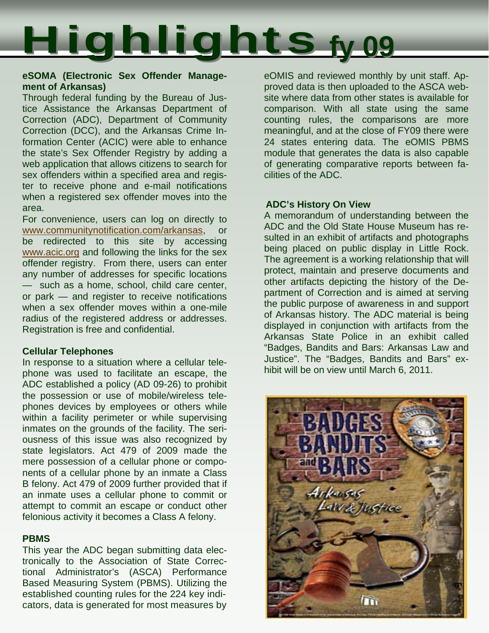

### **eSOMA (Electronic Sex Offender Management of Arkansas)**

Through federal funding by the Bureau of Justice Assistance the Arkansas Department of Correction (ADC), Department of Community Correction (DCC), and the Arkansas Crime Information Center (ACIC) were able to enhance the state's Sex Offender Registry by adding a web application that allows citizens to search for sex offenders within a specified area and register to receive phone and e-mail notifications when a registered sex offender moves into the area.

For convenience, users can log on directly to www.communitynotification.com/arkansas, be redirected to this site by accessing www.acic.org and following the links for the sex offender registry. From there, users can enter any number of addresses for specific locations — such as a home, school, child care center, or park — and register to receive notifications when a sex offender moves within a one-mile radius of the registered address or addresses. Registration is free and confidential.

### **Cellular Telephones**

In response to a situation where a cellular telephone was used to facilitate an escape, the ADC established a policy (AD 09-26) to prohibit the possession or use of mobile/wireless telephones devices by employees or others while within a facility perimeter or while supervising inmates on the grounds of the facility. The seriousness of this issue was also recognized by state legislators. Act 479 of 2009 made the mere possession of a cellular phone or components of a cellular phone by an inmate a Class B felony. Act 479 of 2009 further provided that if an inmate uses a cellular phone to commit or attempt to commit an escape or conduct other felonious activity it becomes a Class A felony.

### **PBMS**

This year the ADC began submitting data electronically to the Association of State Correctional Administrator's (ASCA) Performance Based Measuring System (PBMS). Utilizing the established counting rules for the 224 key indicators, data is generated for most measures by eOMIS and reviewed monthly by unit staff. Approved data is then uploaded to the ASCA website where data from other states is available for comparison. With all state using the same counting rules, the comparisons are more meaningful, and at the close of FY09 there were 24 states entering data. The eOMIS PBMS module that generates the data is also capable of generating comparative reports between facilities of the ADC.

## **ADC's History On View**

A memorandum of understanding between the ADC and the Old State House Museum has resulted in an exhibit of artifacts and photographs being placed on public display in Little Rock. The agreement is a working relationship that will protect, maintain and preserve documents and other artifacts depicting the history of the Department of Correction and is aimed at serving the public purpose of awareness in and support of Arkansas history. The ADC material is being displayed in conjunction with artifacts from the Arkansas State Police in an exhibit called "Badges, Bandits and Bars: Arkansas Law and Justice". The "Badges, Bandits and Bars" exhibit will be on view until March 6, 2011.

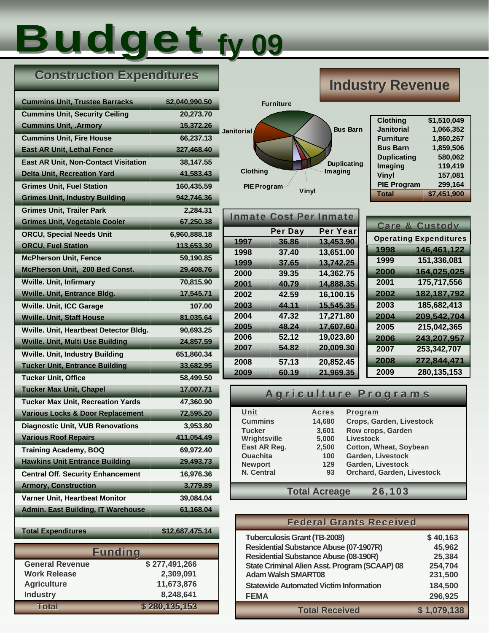# Budget **fy 09**

## **Construction Expenditures**

| <b>Cummins Unit, Trustee Barracks</b>       | \$2,040,990.50  |
|---------------------------------------------|-----------------|
| <b>Cummins Unit, Security Ceiling</b>       | 20,273.70       |
| <b>Cummins Unit, .Armory</b>                | 15,372.26       |
| <b>Cummins Unit, Fire House</b>             | 66,237.13       |
| <b>East AR Unit, Lethal Fence</b>           | 327,468.40      |
| East AR Unit, Non-Contact Visitation        | 38,147.55       |
| <b>Delta Unit, Recreation Yard</b>          | 41,583.43       |
| <b>Grimes Unit, Fuel Station</b>            | 160,435.59      |
| <b>Grimes Unit, Industry Building</b>       | 942,746.36      |
| <b>Grimes Unit, Trailer Park</b>            | 2,284.31        |
| <b>Grimes Unit, Vegetable Cooler</b>        | 67,250.38       |
| <b>ORCU, Special Needs Unit</b>             | 6,960,888.18    |
| <b>ORCU, Fuel Station</b>                   | 113,653.30      |
| <b>McPherson Unit, Fence</b>                | 59,190.85       |
| McPherson Unit, 200 Bed Const.              | 29,408.76       |
| <b>Wville. Unit, Infirmary</b>              | 70,815.90       |
| <b>Wville. Unit, Entrance Bldg.</b>         | 17,545.71       |
| <b>Wville. Unit, ICC Garage</b>             | 107.00          |
| <b>Wville. Unit, Staff House</b>            | 81,035.64       |
| Wville. Unit, Heartbeat Detector Bldg.      | 90,693.25       |
| <b>Wville. Unit, Multi Use Building</b>     | 24,857.59       |
| <b>Wville. Unit, Industry Building</b>      | 651,860.34      |
| <b>Tucker Unit, Entrance Building</b>       | 33,682.95       |
| <b>Tucker Unit, Office</b>                  | 58,499.50       |
| <b>Tucker Max Unit, Chapel</b>              | 17,007.71       |
| <b>Tucker Max Unit, Recreation Yards</b>    | 47,360.90       |
| <b>Various Locks &amp; Door Replacement</b> | 72,595.20       |
| <b>Diagnostic Unit, VUB Renovations</b>     | 3,953.80        |
| <b>Various Roof Repairs</b>                 | 411,054.49      |
| <b>Training Academy, BOQ</b>                | 69,972.40       |
| <b>Hawkins Unit Entrance Building</b>       | 29,493.73       |
| <b>Central Off. Security Enhancement</b>    | 16,976.36       |
| <b>Armory, Construction</b>                 | 3,779.89        |
| Varner Unit, Heartbeat Monitor              | 39,084.04       |
| <b>Admin. East Building, IT Warehouse</b>   | 61,168.04       |
|                                             |                 |
| <b>Total Expenditures</b>                   | \$12,687,475.14 |
| <b>Funding</b>                              |                 |
| <b>General Revenue</b>                      | \$277,491,266   |
| <b>Work Release</b>                         | 2,309,091       |

 **Total \$ 280,135,153**

 **Agriculture 11,673,876 Industry 8,248,641** 



## **Inmate Cost Per Inmate** Per Day Per Year **1997 36.86 13,453.90 1998 37.40 13,651.00 1999 37.65 13,742.25 2000 39.35 14,362.75 2001 40.79 14,888.35 2002 42.59 16,100.15 2003 44.11 15,545.35 2004 47.32 17,271.80 2005 48.24 17,607.60 2006 52.12 19,023.80 2007 54.82 20,009.30 2008 57.13 20,852.45 2009 60.19 21,969.35**

## Operating Expenditures Care & Custody **1998 146,461,122 1999 151,336,081 2000 164,025,025 2001 175,717,556 2002 182,187,792 2003 185,682,413 2004 209,542,704 2005 215,042,365 2006 243,207,957 2007 253,342,707 2008 272,844,471 2009 280,135,153**

## Agriculture Programs

| Unit                           | <b>Acres</b> | Program                       |  |  |  |  |
|--------------------------------|--------------|-------------------------------|--|--|--|--|
| <b>Cummins</b>                 | 14,680       | Crops, Garden, Livestock      |  |  |  |  |
| <b>Tucker</b>                  | 3,601        | Row crops, Garden             |  |  |  |  |
| Wrightsville                   | 5,000        | <b>Livestock</b>              |  |  |  |  |
| East AR Reg.                   | 2,500        | <b>Cotton, Wheat, Soybean</b> |  |  |  |  |
| <b>Ouachita</b>                | 100          | Garden, Livestock             |  |  |  |  |
| <b>Newport</b>                 | 129          | Garden, Livestock             |  |  |  |  |
| <b>N. Central</b>              | 93           | Orchard, Garden, Livestock    |  |  |  |  |
|                                |              |                               |  |  |  |  |
| <b>Total Acreage</b><br>26,103 |              |                               |  |  |  |  |

| <b>Federal Grants Received</b>                |             |
|-----------------------------------------------|-------------|
| <b>Tuberculosis Grant (TB-2008)</b>           | \$40,163    |
| <b>Residential Substance Abuse (07-1907R)</b> | 45,962      |
| <b>Residential Substance Abuse (08-190R)</b>  | 25,384      |
| State Criminal Alien Asst. Program (SCAAP) 08 | 254,704     |
| <b>Adam Walsh SMART08</b>                     | 231,500     |
| <b>Statewide Automated Victim Information</b> | 184,500     |
| <b>FEMA</b>                                   | 296,925     |
| <b>Total Received</b>                         | \$1,079,138 |

## **Industry Revenue**

| <b>Clothing</b>    | \$1,510,049 |
|--------------------|-------------|
| <b>Janitorial</b>  | 1,066,352   |
| <b>Furniture</b>   | 1,860,267   |
| <b>Bus Barn</b>    | 1,859,506   |
| <b>Duplicating</b> | 580.062     |
| Imaging            | 119.419     |
| Vinyl              | 157,081     |
| <b>PIE Program</b> | 299,164     |
| <b>Total</b>       | \$7,451,900 |
|                    |             |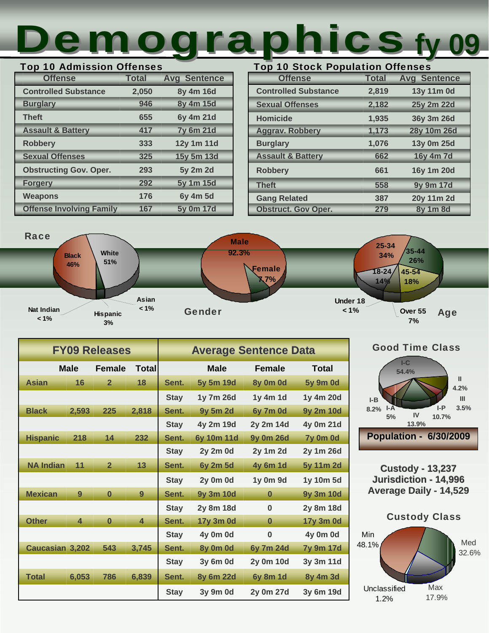# Top 10 Stock Population Offenses Top 10 Admission Offenses<br>
Offense Total Avg Sentence **Top 10 Stock Population Offenses**<br>
Offense Total Avg Sentence

## Top 10 Admission Offenses

| <b>Offense</b>                  | <b>Total</b> | <b>Avg Sentence</b> |
|---------------------------------|--------------|---------------------|
| <b>Controlled Substance</b>     | 2,050        | 8y 4m 16d           |
| <b>Burglary</b>                 | 946          | 8y 4m 15d           |
| <b>Theft</b>                    | 655          | 6y 4m 21d           |
| <b>Assault &amp; Battery</b>    | 417          | <b>7y 6m 21d</b>    |
| <b>Robbery</b>                  | 333          | 12y 1m 11d          |
| <b>Sexual Offenses</b>          | 325          | 15y 5m 13d          |
| <b>Obstructing Gov. Oper.</b>   | 293          | 5y 2m 2d            |
| <b>Forgery</b>                  | 292          | 5y 1m 15d           |
| <b>Weapons</b>                  | 176          | 6y 4m 5d            |
| <b>Offense Involving Family</b> | 167          | 5y 0m 17d           |

| <b>Offense</b>               | <b>Total</b> | <b>Avg Sentence</b> |
|------------------------------|--------------|---------------------|
| <b>Controlled Substance</b>  | 2,819        | 13y 11m 0d          |
| <b>Sexual Offenses</b>       | 2,182        | 25y 2m 22d          |
| <b>Homicide</b>              | 1,935        | 36y 3m 26d          |
| <b>Aggrav. Robbery</b>       | 1,173        | 28y 10m 26d         |
| <b>Burglary</b>              | 1,076        | 13y 0m 25d          |
| <b>Assault &amp; Battery</b> | 662          | 16y 4m 7d           |
| <b>Robbery</b>               | 661          | 16y 1m 20d          |
| <b>Theft</b>                 | 558          | 9y 9m 17d           |
| <b>Gang Related</b>          | 387          | 20y 11m 2d          |
| <b>Obstruct. Gov Oper.</b>   | 279          | 8y 1m 8d            |



|                        |                         | <b>FY09 Releases</b> |                         | <b>Average Sentence Data</b> |                  |                  |                  |
|------------------------|-------------------------|----------------------|-------------------------|------------------------------|------------------|------------------|------------------|
|                        | <b>Male</b>             | <b>Female</b>        | Total                   |                              | <b>Male</b>      | <b>Female</b>    | Total            |
| <b>Asian</b>           | 16                      | $\overline{2}$       | 18                      | Sent.                        | 5y 5m 19d        | 8y 0m 0d         | <b>5y 9m 0d</b>  |
|                        |                         |                      |                         | <b>Stay</b>                  | 1y 7m 26d        | 1y 4m 1d         | 1y 4m 20d        |
| <b>Black</b>           | 2,593                   | 225                  | 2,818                   | Sent.                        | <b>9y 5m 2d</b>  | 6y 7m 0d         | <b>9y 2m 10d</b> |
|                        |                         |                      |                         | <b>Stay</b>                  | 4y 2m 19d        | 2y 2m 14d        | 4y 0m 21d        |
| <b>Hispanic</b>        | 218                     | 14                   | 232                     | Sent.                        | 6y 10m 11d       | <b>9y 0m 26d</b> | 7y 0m 0d         |
|                        |                         |                      |                         | <b>Stay</b>                  | <b>2y 2m 0d</b>  | 2y 1m 2d         | 2y 1m 26d        |
| <b>NA Indian</b>       | 11                      | $\overline{2}$       | 13                      | Sent.                        | <b>6y 2m 5d</b>  | <b>4y 6m 1d</b>  | 5y 11m 2d        |
|                        |                         |                      |                         | <b>Stay</b>                  | 2y 0m 0d         | 1y 0m 9d         | 1y 10m 5d        |
| <b>Mexican</b>         | 9                       | $\bf{0}$             | 9                       | Sent.                        | <b>9y 3m 10d</b> | $\bf{0}$         | <b>9y 3m 10d</b> |
|                        |                         |                      |                         | <b>Stay</b>                  | 2y 8m 18d        | $\bf{0}$         | 2y 8m 18d        |
| <b>Other</b>           | $\overline{\mathbf{A}}$ | $\bf{0}$             | $\overline{\mathbf{4}}$ | Sent.                        | 17y 3m 0d        | $\bf{0}$         | 17y 3m 0d        |
|                        |                         |                      |                         | <b>Stay</b>                  | 4y 0m 0d         | $\bf{0}$         | 4y 0m 0d         |
| <b>Caucasian 3,202</b> |                         | 543                  | 3,745                   | Sent.                        | 8y 0m 0d         | 6y 7m 24d        | <b>7y 9m 17d</b> |
|                        |                         |                      |                         | <b>Stay</b>                  | 3y 6m 0d         | 2y 0m 10d        | 3y 3m 11d        |
| <b>Total</b>           | 6,053                   | 786                  | 6,839                   | Sent.                        | 8y 6m 22d        | <b>6y 8m 1d</b>  | 8y 4m 3d         |
|                        |                         |                      |                         | <b>Stay</b>                  | 3y 9m 0d         | 2y 0m 27d        | 3y 6m 19d        |





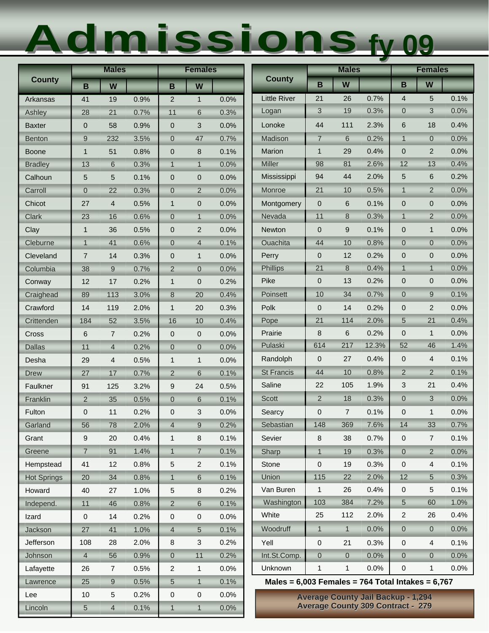# Admissions Admissions**fy 09**

|                    |                | <b>Males</b>   |      | <b>Females</b>   |                  |      |                                                       | <b>Males</b>     |                |                                           | <b>Females</b>   |                     |      |
|--------------------|----------------|----------------|------|------------------|------------------|------|-------------------------------------------------------|------------------|----------------|-------------------------------------------|------------------|---------------------|------|
| <b>County</b>      | B              | W              |      | B                | W                |      | <b>County</b>                                         | B                | W              |                                           | B                | W                   |      |
| Arkansas           | 41             | 19             | 0.9% | $\overline{2}$   | $\mathbf{1}$     | 0.0% | <b>Little River</b>                                   | 21               | 26             | 0.7%                                      | 4                | 5                   | 0.1% |
| Ashley             | 28             | 21             | 0.7% | 11               | 6                | 0.3% | Logan                                                 | $\mathbf{3}$     | 19             | 0.3%                                      | $\overline{0}$   | 3                   | 0.0% |
| <b>Baxter</b>      | $\mathbf 0$    | 58             | 0.9% | $\pmb{0}$        | 3                | 0.0% | Lonoke                                                | 44               | 111            | 2.3%                                      | 6                | 18                  | 0.4% |
| Benton             | 9              | 232            | 3.5% | $\overline{0}$   | 47               | 0.7% | Madison                                               | $\overline{7}$   | 6              | 0.2%                                      | $\overline{1}$   | $\overline{0}$      | 0.0% |
| <b>Boone</b>       | $\mathbf{1}$   | 51             | 0.8% | $\mathbf 0$      | 8                | 0.1% | Marion                                                | $\mathbf{1}$     | 29             | 0.4%                                      | 0                | $\overline{2}$      | 0.0% |
| <b>Bradley</b>     | 13             | 6              | 0.3% | $\mathbf{1}$     | $\mathbf{1}$     | 0.0% | <b>Miller</b>                                         | 98               | 81             | 2.6%                                      | 12               | 13                  | 0.4% |
| Calhoun            | 5              | 5              | 0.1% | $\mathbf 0$      | 0                | 0.0% | Mississippi                                           | 94               | 44             | 2.0%                                      | 5                | 6                   | 0.2% |
| Carroll            | $\overline{0}$ | 22             | 0.3% | $\overline{0}$   | $\overline{2}$   | 0.0% | Monroe                                                | 21               | 10             | 0.5%                                      | $\mathbf{1}$     | $\overline{2}$      | 0.0% |
| Chicot             | 27             | 4              | 0.5% | $\mathbf{1}$     | $\mathbf 0$      | 0.0% | Montgomery                                            | $\mathbf 0$      | 6              | 0.1%                                      | $\overline{0}$   | 0                   | 0.0% |
| <b>Clark</b>       | 23             | 16             | 0.6% | $\overline{0}$   | $\mathbf{1}$     | 0.0% | Nevada                                                | 11               | 8              | 0.3%                                      | $\overline{1}$   | $\overline{2}$      | 0.0% |
| Clay               | $\mathbf{1}$   | 36             | 0.5% | $\overline{0}$   | $\overline{c}$   | 0.0% | Newton                                                | $\mathbf 0$      | 9              | 0.1%                                      | 0                | $\mathbf{1}$        | 0.0% |
| Cleburne           | $\mathbf{1}$   | 41             | 0.6% | $\mathbf 0$      | $\overline{4}$   | 0.1% | <b>Ouachita</b>                                       | 44               | 10             | 0.8%                                      | $\overline{0}$   | $\mathbf 0$         | 0.0% |
| Cleveland          | $\overline{7}$ | 14             | 0.3% | $\mathbf 0$      | $\mathbf{1}$     | 0.0% | Perry                                                 | $\mathbf 0$      | 12             | 0.2%                                      | 0                | $\mathbf 0$         | 0.0% |
| Columbia           | 38             | 9              | 0.7% | $\overline{2}$   | $\boldsymbol{0}$ | 0.0% | <b>Phillips</b>                                       | 21               | 8              | 0.4%                                      | $\overline{1}$   | $\mathbf{1}$        | 0.0% |
| Conway             | 12             | 17             | 0.2% | $\mathbf{1}$     | 0                | 0.2% | Pike                                                  | $\mathbf 0$      | 13             | 0.2%                                      | 0                | 0                   | 0.0% |
| Craighead          | 89             | 113            | 3.0% | $\bf 8$          | 20               | 0.4% | Poinsett                                              | 10               | 34             | 0.7%                                      | 0                | 9                   | 0.1% |
| Crawford           | 14             | 119            | 2.0% | $\mathbf{1}$     | 20               | 0.3% | Polk                                                  | $\mathbf 0$      | 14             | 0.2%                                      | 0                | $\overline{c}$      | 0.0% |
| Crittenden         | 184            | 52             | 3.5% | 16               | 10               | 0.4% | Pope                                                  | 21               | 114            | 2.0%                                      | 5                | 21                  | 0.4% |
| Cross              | 6              | $\overline{7}$ | 0.2% | $\mathbf{0}$     | $\mathbf 0$      | 0.0% | Prairie                                               | 8                | 6              | 0.2%                                      | $\mathbf 0$      | $\mathbf 1$         | 0.0% |
| <b>Dallas</b>      | 11             | 4              | 0.2% | $\boldsymbol{0}$ | $\mathbf 0$      | 0.0% | Pulaski                                               | 614              | 217            | 12.3%                                     | 52               | 46                  | 1.4% |
| Desha              | 29             | 4              | 0.5% | $\mathbf{1}$     | $\mathbf{1}$     | 0.0% | Randolph                                              | $\mathbf 0$      | 27             | 0.4%                                      | 0                | 4                   | 0.1% |
| <b>Drew</b>        | 27             | 17             | 0.7% | $\overline{2}$   | 6                | 0.1% | <b>St Francis</b>                                     | 44               | 10             | 0.8%                                      | $\overline{2}$   | $\overline{2}$      | 0.1% |
| Faulkner           | 91             | 125            | 3.2% | 9                | 24               | 0.5% | Saline                                                | 22               | 105            | 1.9%                                      | 3                | 21                  | 0.4% |
| Franklin           | $\overline{2}$ | 35             | 0.5% | $\boldsymbol{0}$ | 6                | 0.1% | Scott                                                 | $\overline{2}$   | 18             | 0.3%                                      | $\mathsf 0$      | 3                   | 0.0% |
| Fulton             | 0              | 11             | 0.2% | $\pmb{0}$        | 3                | 0.0% | Searcy                                                | $\mathbf 0$      | 7              | 0.1%                                      | 0                | $\mathbf{1}$        | 0.0% |
| Garland            | 56             | 78             | 2.0% | $\overline{4}$   | 9                | 0.2% | Sebastian                                             | 148              | 369            | 7.6%                                      | 14               | 33                  | 0.7% |
| Grant              | 9              | 20             | 0.4% | $\mathbf{1}$     | 8                | 0.1% | Sevier                                                | 8                | 38             | 0.7%                                      | 0                | $\overline{7}$      | 0.1% |
| Greene             | $\overline{7}$ | 91             | 1.4% | $\overline{1}$   | $\overline{7}$   | 0.1% | Sharp                                                 | $\overline{1}$   | 19             | 0.3%                                      | $\overline{0}$   | $\overline{2}$      | 0.0% |
| Hempstead          | 41             | 12             | 0.8% | 5                | $\overline{c}$   | 0.1% | Stone                                                 | $\pmb{0}$        | 19             | 0.3%                                      | 0                | 4                   | 0.1% |
| <b>Hot Springs</b> | 20             | 34             | 0.8% | $\mathbf{1}$     | 6                | 0.1% | Union                                                 | 115              | 22             | 2.0%                                      | 12               | $\overline{5}$      | 0.3% |
| Howard             | 40             | 27             | 1.0% | 5                | 8                | 0.2% | Van Buren                                             | $\mathbf{1}$     | 26             | 0.4%                                      | 0                | 5                   | 0.1% |
| Independ.          | 11             | 46             | 0.8% | $\overline{2}$   | 6                | 0.1% | Washington                                            | 103              | 384            | 7.2%                                      | 5                | 60                  | 1.0% |
| Izard              | $\mathbf 0$    | 14             | 0.2% | 0                | 0                | 0.0% | White                                                 | 25               | 112            | 2.0%                                      | 2                | 26                  | 0.4% |
| Jackson            | 27             | 41             | 1.0% | $\overline{4}$   | 5                | 0.1% | Woodruff                                              | $\mathbf{1}$     | 1              | 0.0%                                      | $\boldsymbol{0}$ | $\overline{0}$      | 0.0% |
| Jefferson          | 108            | 28             | 2.0% | 8                | 3                | 0.2% | Yell                                                  | $\pmb{0}$        | 21             | 0.3%                                      | 0                | $\overline{4}$      | 0.1% |
| Johnson            | $\overline{4}$ | 56             | 0.9% | $\overline{0}$   | 11               | 0.2% | Int.St.Comp.                                          | $\boldsymbol{0}$ | $\overline{0}$ | 0.0%                                      | $\overline{0}$   | $\mathsf{O}\xspace$ | 0.0% |
| Lafayette          | 26             | 7              | 0.5% | $\overline{2}$   | 1                | 0.0% | Unknown                                               | 1                | $\mathbf{1}$   | 0.0%                                      | 0                | 1                   | 0.0% |
| Lawrence           | 25             | 9              | 0.5% | 5                | $\mathbf{1}$     | 0.1% | Males = $6,003$ Females = 764 Total Intakes = $6,767$ |                  |                |                                           |                  |                     |      |
| Lee                | 10             | 5              | 0.2% | 0                | 0                | 0.0% |                                                       |                  |                | <b>Average County Jail Backup - 1,294</b> |                  |                     |      |
| Lincoln            | $\overline{5}$ | $\overline{4}$ | 0.1% | $\overline{1}$   | $\mathbf{1}$     | 0.0% |                                                       |                  |                | <b>Average County 309 Contract - 279</b>  |                  |                     |      |